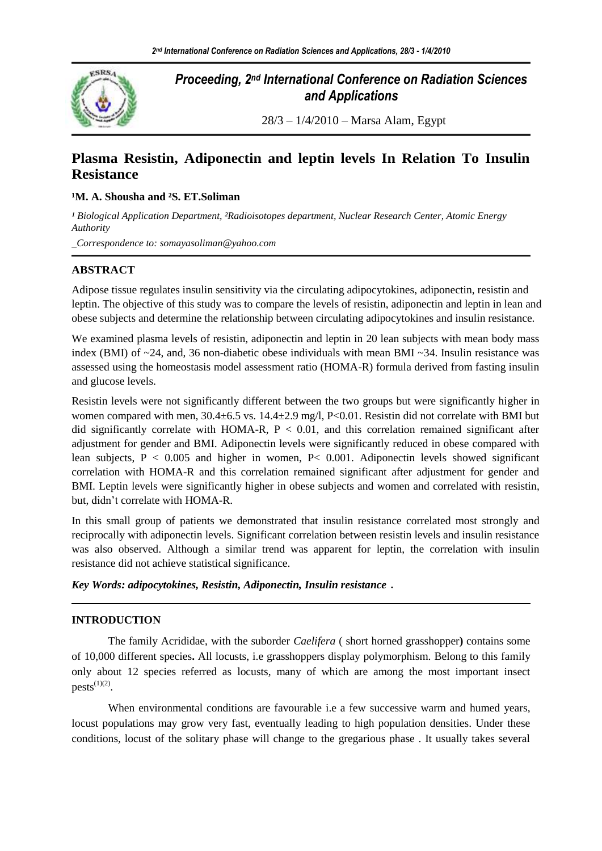

# *Proceeding, 2nd International Conference on Radiation Sciences and Applications*

28/3 – 1/4/2010 – Marsa Alam, Egypt

## **Plasma Resistin, Adiponectin and leptin levels In Relation To Insulin Resistance**

### **¹M. A. Shousha and ²S. ET.Soliman**

<sup>1</sup> Biological Application Department, <sup>2</sup>Radioisotopes department, Nuclear Research Center, Atomic Energy *Authority*

*\_Correspondence to: somayasoliman@yahoo.com*

## **ABSTRACT**

Adipose tissue regulates insulin sensitivity via the circulating adipocytokines, adiponectin, resistin and leptin. The objective of this study was to compare the levels of resistin, adiponectin and leptin in lean and obese subjects and determine the relationship between circulating adipocytokines and insulin resistance.

We examined plasma levels of resistin, adiponectin and leptin in 20 lean subjects with mean body mass index (BMI) of  $\sim$ 24, and, 36 non-diabetic obese individuals with mean BMI  $\sim$ 34. Insulin resistance was assessed using the homeostasis model assessment ratio (HOMA-R) formula derived from fasting insulin and glucose levels.

Resistin levels were not significantly different between the two groups but were significantly higher in women compared with men,  $30.4 \pm 6.5$  vs.  $14.4 \pm 2.9$  mg/l, P<0.01. Resistin did not correlate with BMI but did significantly correlate with HOMA-R,  $P < 0.01$ , and this correlation remained significant after adjustment for gender and BMI. Adiponectin levels were significantly reduced in obese compared with lean subjects,  $P < 0.005$  and higher in women,  $P < 0.001$ . Adiponectin levels showed significant correlation with HOMA-R and this correlation remained significant after adjustment for gender and BMI. Leptin levels were significantly higher in obese subjects and women and correlated with resistin, but, didn't correlate with HOMA-R.

In this small group of patients we demonstrated that insulin resistance correlated most strongly and reciprocally with adiponectin levels. Significant correlation between resistin levels and insulin resistance was also observed. Although a similar trend was apparent for leptin, the correlation with insulin resistance did not achieve statistical significance.

*Key Words: adipocytokines, Resistin, Adiponectin, Insulin resistance*

### **INTRODUCTION**

The family Acrididae, with the suborder *Caelifera* ( short horned grasshopper**)** contains some of 10,000 different species**.** All locusts, i.e grasshoppers display polymorphism. Belong to this family only about 12 species referred as locusts, many of which are among the most important insect  $pests^{(1)(2)}.$ 

When environmental conditions are favourable i.e a few successive warm and humed years, locust populations may grow very fast, eventually leading to high population densities. Under these conditions, locust of the solitary phase will change to the gregarious phase . It usually takes several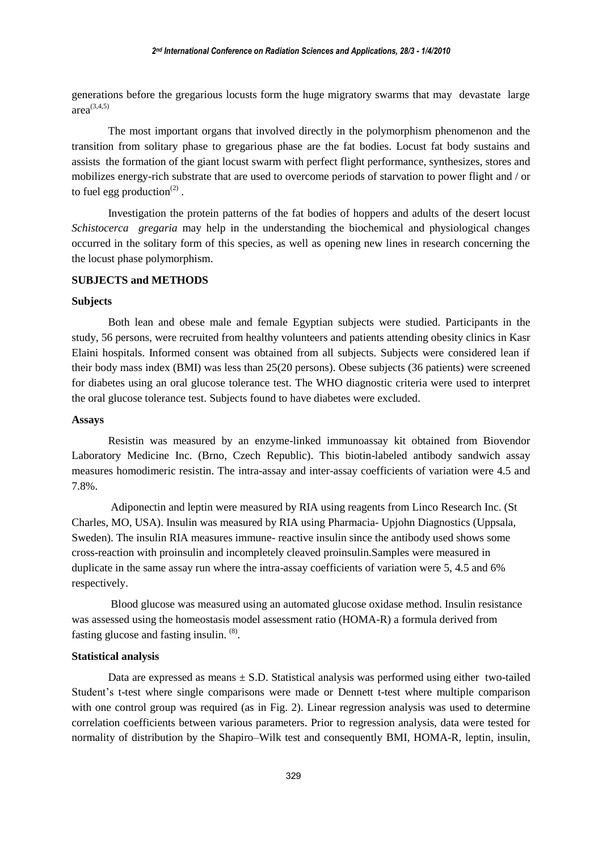generations before the gregarious locusts form the huge migratory swarms that may devastate large area $(3,4,5)$ 

The most important organs that involved directly in the polymorphism phenomenon and the transition from solitary phase to gregarious phase are the fat bodies. Locust fat body sustains and assists the formation of the giant locust swarm with perfect flight performance, synthesizes, stores and mobilizes energy-rich substrate that are used to overcome periods of starvation to power flight and / or to fuel egg production $(2)$ .

Investigation the protein patterns of the fat bodies of hoppers and adults of the desert locust *Schistocerca gregaria* may help in the understanding the biochemical and physiological changes occurred in the solitary form of this species, as well as opening new lines in research concerning the the locust phase polymorphism.

#### **SUBJECTS and METHODS**

#### **Subjects**

Both lean and obese male and female Egyptian subjects were studied. Participants in the study, 56 persons, were recruited from healthy volunteers and patients attending obesity clinics in Kasr Elaini hospitals. Informed consent was obtained from all subjects. Subjects were considered lean if their body mass index (BMI) was less than 25(20 persons). Obese subjects (36 patients) were screened for diabetes using an oral glucose tolerance test. The WHO diagnostic criteria were used to interpret the oral glucose tolerance test. Subjects found to have diabetes were excluded.

#### **Assays**

Resistin was measured by an enzyme-linked immunoassay kit obtained from Biovendor Laboratory Medicine Inc. (Brno, Czech Republic). This biotin-labeled antibody sandwich assay measures homodimeric resistin. The intra-assay and inter-assay coefficients of variation were 4.5 and 7.8%.

Adiponectin and leptin were measured by RIA using reagents from Linco Research Inc. (St Charles, MO, USA). Insulin was measured by RIA using Pharmacia- Upjohn Diagnostics (Uppsala, Sweden). The insulin RIA measures immune- reactive insulin since the antibody used shows some cross-reaction with proinsulin and incompletely cleaved proinsulin.Samples were measured in duplicate in the same assay run where the intra-assay coefficients of variation were 5, 4.5 and 6% respectively.

Blood glucose was measured using an automated glucose oxidase method. Insulin resistance was assessed using the homeostasis model assessment ratio (HOMA-R) a formula derived from fasting glucose and fasting insulin. <sup>(8)</sup>.

#### **Statistical analysis**

Data are expressed as means  $\pm$  S.D. Statistical analysis was performed using either two-tailed Student's t-test where single comparisons were made or Dennett t-test where multiple comparison with one control group was required (as in Fig. 2). Linear regression analysis was used to determine correlation coefficients between various parameters. Prior to regression analysis, data were tested for normality of distribution by the Shapiro–Wilk test and consequently BMI, HOMA-R, leptin, insulin,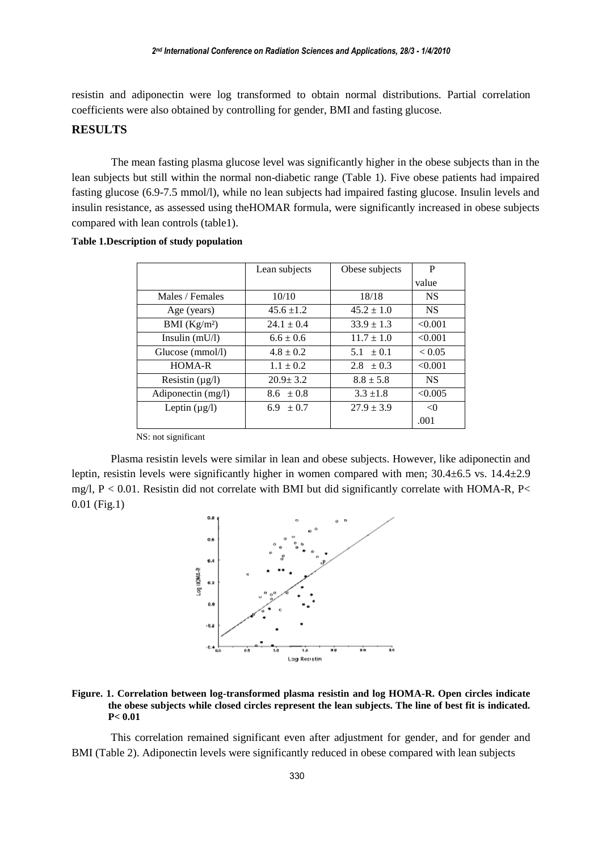resistin and adiponectin were log transformed to obtain normal distributions. Partial correlation coefficients were also obtained by controlling for gender, BMI and fasting glucose.

### **RESULTS**

The mean fasting plasma glucose level was significantly higher in the obese subjects than in the lean subjects but still within the normal non-diabetic range (Table 1). Five obese patients had impaired fasting glucose (6.9-7.5 mmol/l), while no lean subjects had impaired fasting glucose. Insulin levels and insulin resistance, as assessed using theHOMAR formula, were significantly increased in obese subjects compared with lean controls (table1).

|                      | Lean subjects  | Obese subjects | P         |
|----------------------|----------------|----------------|-----------|
|                      |                |                | value     |
| Males / Females      | 10/10          | 18/18          | <b>NS</b> |
| Age (years)          | $45.6 \pm 1.2$ | $45.2 \pm 1.0$ | <b>NS</b> |
| BMI $(Kg/m2)$        | $24.1 \pm 0.4$ | $33.9 \pm 1.3$ | < 0.001   |
| Insulin $(mU/l)$     | $6.6 \pm 0.6$  | $11.7 \pm 1.0$ | < 0.001   |
| Glucose (mmol/l)     | $4.8 \pm 0.2$  | $5.1 \pm 0.1$  | < 0.05    |
| HOMA-R               | $1.1 \pm 0.2$  | $2.8 \pm 0.3$  | < 0.001   |
| Resistin $(\mu g/l)$ | $20.9 \pm 3.2$ | $8.8 \pm 5.8$  | <b>NS</b> |
| Adiponectin $(mg/l)$ | $8.6 \pm 0.8$  | $3.3 + 1.8$    | < 0.005   |
| Leptin $(\mu g/l)$   | 6.9 $\pm 0.7$  | $27.9 \pm 3.9$ | < 0       |
|                      |                |                | .001      |

#### **Table 1.Description of study population**

NS: not significant

Plasma resistin levels were similar in lean and obese subjects. However, like adiponectin and leptin, resistin levels were significantly higher in women compared with men;  $30.4 \pm 6.5$  vs.  $14.4 \pm 2.9$ mg/l,  $P < 0.01$ . Resistin did not correlate with BMI but did significantly correlate with HOMA-R, P< 0.01 (Fig.1)



#### **Figure. 1. Correlation between log-transformed plasma resistin and log HOMA-R. Open circles indicate the obese subjects while closed circles represent the lean subjects. The line of best fit is indicated. P< 0.01**

This correlation remained significant even after adjustment for gender, and for gender and BMI (Table 2). Adiponectin levels were significantly reduced in obese compared with lean subjects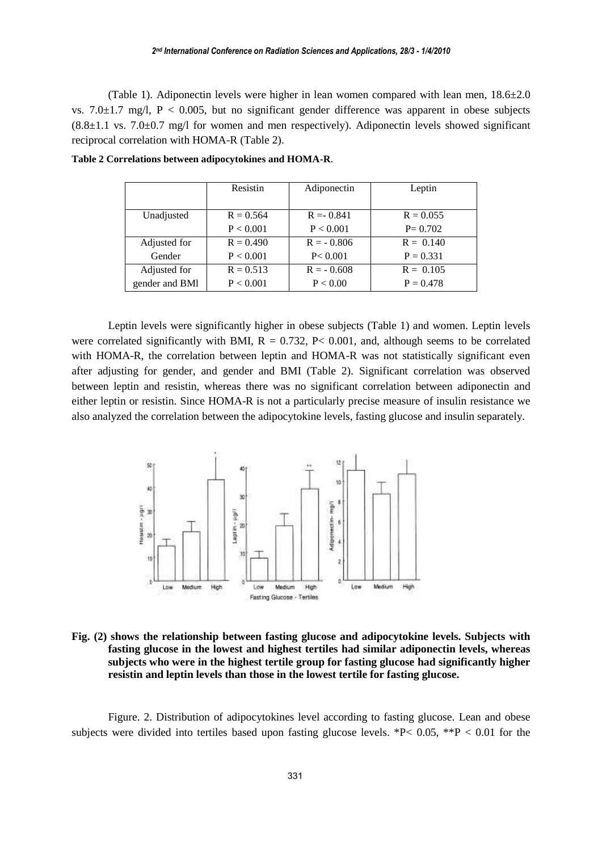(Table 1). Adiponectin levels were higher in lean women compared with lean men,  $18.6\pm2.0$ vs.  $7.0\pm1.7$  mg/l,  $P < 0.005$ , but no significant gender difference was apparent in obese subjects  $(8.8\pm1.1 \text{ vs. } 7.0\pm0.7 \text{ mg/l}$  for women and men respectively). Adiponectin levels showed significant reciprocal correlation with HOMA-R (Table 2).

|                | Resistin    | Adiponectin  | Leptin      |
|----------------|-------------|--------------|-------------|
|                |             |              |             |
| Unadjusted     | $R = 0.564$ | $R = 0.841$  | $R = 0.055$ |
|                | P < 0.001   | P < 0.001    | $P = 0.702$ |
| Adjusted for   | $R = 0.490$ | $R = -0.806$ | $R = 0.140$ |
| Gender         | P < 0.001   | P < 0.001    | $P = 0.331$ |
| Adjusted for   | $R = 0.513$ | $R = -0.608$ | $R = 0.105$ |
| gender and BMI | P < 0.001   | P < 0.00     | $P = 0.478$ |

**Table 2 Correlations between adipocytokines and HOMA-R**.

Leptin levels were significantly higher in obese subjects (Table 1) and women. Leptin levels were correlated significantly with BMI,  $R = 0.732$ ,  $P< 0.001$ , and, although seems to be correlated with HOMA-R, the correlation between leptin and HOMA-R was not statistically significant even after adjusting for gender, and gender and BMI (Table 2). Significant correlation was observed between leptin and resistin, whereas there was no significant correlation between adiponectin and either leptin or resistin. Since HOMA-R is not a particularly precise measure of insulin resistance we also analyzed the correlation between the adipocytokine levels, fasting glucose and insulin separately.



**Fig. (2) shows the relationship between fasting glucose and adipocytokine levels. Subjects with fasting glucose in the lowest and highest tertiles had similar adiponectin levels, whereas subjects who were in the highest tertile group for fasting glucose had significantly higher resistin and leptin levels than those in the lowest tertile for fasting glucose.**

Figure. 2. Distribution of adipocytokines level according to fasting glucose. Lean and obese subjects were divided into tertiles based upon fasting glucose levels. \*P< 0.05, \*\*P < 0.01 for the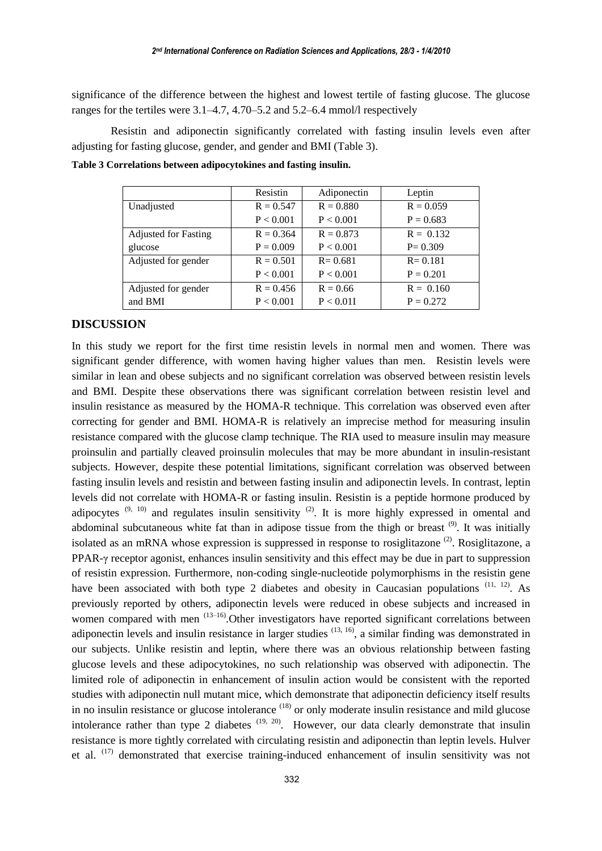significance of the difference between the highest and lowest tertile of fasting glucose. The glucose ranges for the tertiles were 3.1–4.7, 4.70–5.2 and 5.2–6.4 mmol/l respectively

Resistin and adiponectin significantly correlated with fasting insulin levels even after adjusting for fasting glucose, gender, and gender and BMI (Table 3).

|                             | Resistin    | Adiponectin | Leptin      |
|-----------------------------|-------------|-------------|-------------|
| Unadjusted                  | $R = 0.547$ | $R = 0.880$ | $R = 0.059$ |
|                             | P < 0.001   | P < 0.001   | $P = 0.683$ |
| <b>Adjusted for Fasting</b> | $R = 0.364$ | $R = 0.873$ | $R = 0.132$ |
| glucose                     | $P = 0.009$ | P < 0.001   | $P = 0.309$ |
| Adjusted for gender         | $R = 0.501$ | $R = 0.681$ | $R = 0.181$ |
|                             | P < 0.001   | P < 0.001   | $P = 0.201$ |
| Adjusted for gender         | $R = 0.456$ | $R = 0.66$  | $R = 0.160$ |
| and BMI                     | P < 0.001   | P < 0.01I   | $P = 0.272$ |

**Table 3 Correlations between adipocytokines and fasting insulin.**

#### **DISCUSSION**

In this study we report for the first time resistin levels in normal men and women. There was significant gender difference, with women having higher values than men. Resistin levels were similar in lean and obese subjects and no significant correlation was observed between resistin levels and BMI. Despite these observations there was significant correlation between resistin level and insulin resistance as measured by the HOMA-R technique. This correlation was observed even after correcting for gender and BMI. HOMA-R is relatively an imprecise method for measuring insulin resistance compared with the glucose clamp technique. The RIA used to measure insulin may measure proinsulin and partially cleaved proinsulin molecules that may be more abundant in insulin-resistant subjects. However, despite these potential limitations, significant correlation was observed between fasting insulin levels and resistin and between fasting insulin and adiponectin levels. In contrast, leptin levels did not correlate with HOMA-R or fasting insulin. Resistin is a peptide hormone produced by adipocytes  $(9, 10)$  and regulates insulin sensitivity  $(2)$ . It is more highly expressed in omental and abdominal subcutaneous white fat than in adipose tissue from the thigh or breast  $(9)$ . It was initially isolated as an mRNA whose expression is suppressed in response to rosiglitazone  $(2)$ . Rosiglitazone, a PPAR-γ receptor agonist, enhances insulin sensitivity and this effect may be due in part to suppression of resistin expression. Furthermore, non-coding single-nucleotide polymorphisms in the resistin gene have been associated with both type 2 diabetes and obesity in Caucasian populations  $(11, 12)$ . As previously reported by others, adiponectin levels were reduced in obese subjects and increased in women compared with men  $(13-16)$ . Other investigators have reported significant correlations between adiponectin levels and insulin resistance in larger studies  $(13, 16)$ , a similar finding was demonstrated in our subjects. Unlike resistin and leptin, where there was an obvious relationship between fasting glucose levels and these adipocytokines, no such relationship was observed with adiponectin. The limited role of adiponectin in enhancement of insulin action would be consistent with the reported studies with adiponectin null mutant mice, which demonstrate that adiponectin deficiency itself results in no insulin resistance or glucose intolerance <sup>(18)</sup> or only moderate insulin resistance and mild glucose intolerance rather than type 2 diabetes  $(19, 20)$ . However, our data clearly demonstrate that insulin resistance is more tightly correlated with circulating resistin and adiponectin than leptin levels. Hulver et al. (17) demonstrated that exercise training-induced enhancement of insulin sensitivity was not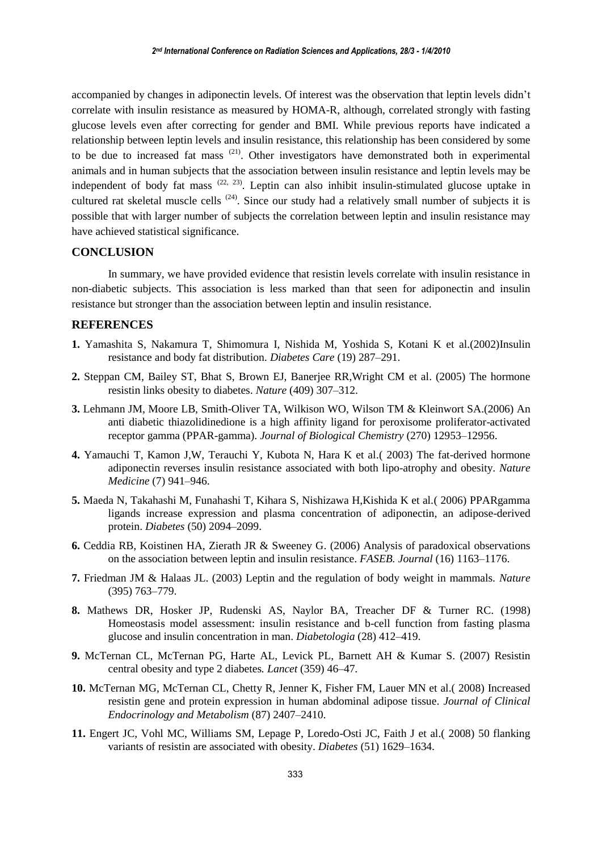accompanied by changes in adiponectin levels. Of interest was the observation that leptin levels didn't correlate with insulin resistance as measured by HOMA-R, although, correlated strongly with fasting glucose levels even after correcting for gender and BMI. While previous reports have indicated a relationship between leptin levels and insulin resistance, this relationship has been considered by some to be due to increased fat mass (21). Other investigators have demonstrated both in experimental animals and in human subjects that the association between insulin resistance and leptin levels may be independent of body fat mass  $(22, 23)$ . Leptin can also inhibit insulin-stimulated glucose uptake in cultured rat skeletal muscle cells  $(24)$ . Since our study had a relatively small number of subjects it is possible that with larger number of subjects the correlation between leptin and insulin resistance may have achieved statistical significance.

#### **CONCLUSION**

In summary, we have provided evidence that resistin levels correlate with insulin resistance in non-diabetic subjects. This association is less marked than that seen for adiponectin and insulin resistance but stronger than the association between leptin and insulin resistance.

### **REFERENCES**

- **1.** Yamashita S, Nakamura T, Shimomura I, Nishida M, Yoshida S, Kotani K et al.(2002)Insulin resistance and body fat distribution. *Diabetes Care* (19) 287–291.
- **2.** Steppan CM, Bailey ST, Bhat S, Brown EJ, Banerjee RR,Wright CM et al. (2005) The hormone resistin links obesity to diabetes. *Nature* (409) 307–312.
- **3.** Lehmann JM, Moore LB, Smith-Oliver TA, Wilkison WO, Wilson TM & Kleinwort SA.(2006) An anti diabetic thiazolidinedione is a high affinity ligand for peroxisome proliferator-activated receptor gamma (PPAR-gamma). *Journal of Biological Chemistry* (270) 12953–12956.
- **4.** Yamauchi T, Kamon J,W, Terauchi Y, Kubota N, Hara K et al.( 2003) The fat-derived hormone adiponectin reverses insulin resistance associated with both lipo-atrophy and obesity. *Nature Medicine* (7) 941–946.
- **5.** Maeda N, Takahashi M, Funahashi T, Kihara S, Nishizawa H,Kishida K et al.( 2006) PPARgamma ligands increase expression and plasma concentration of adiponectin, an adipose-derived protein. *Diabetes* (50) 2094–2099.
- **6.** Ceddia RB, Koistinen HA, Zierath JR & Sweeney G. (2006) Analysis of paradoxical observations on the association between leptin and insulin resistance. *FASEB. Journal* (16) 1163–1176.
- **7.** Friedman JM & Halaas JL. (2003) Leptin and the regulation of body weight in mammals*. Nature* (395) 763–779.
- **8.** Mathews DR, Hosker JP, Rudenski AS, Naylor BA, Treacher DF & Turner RC. (1998) Homeostasis model assessment: insulin resistance and b-cell function from fasting plasma glucose and insulin concentration in man. *Diabetologia* (28) 412–419.
- **9.** McTernan CL, McTernan PG, Harte AL, Levick PL, Barnett AH & Kumar S. (2007) Resistin central obesity and type 2 diabetes*. Lancet* (359) 46–47.
- **10.** McTernan MG, McTernan CL, Chetty R, Jenner K, Fisher FM, Lauer MN et al.( 2008) Increased resistin gene and protein expression in human abdominal adipose tissue. *Journal of Clinical Endocrinology and Metabolism* (87) 2407–2410.
- **11.** Engert JC, Vohl MC, Williams SM, Lepage P, Loredo-Osti JC, Faith J et al.( 2008) 50 flanking variants of resistin are associated with obesity. *Diabetes* (51) 1629–1634.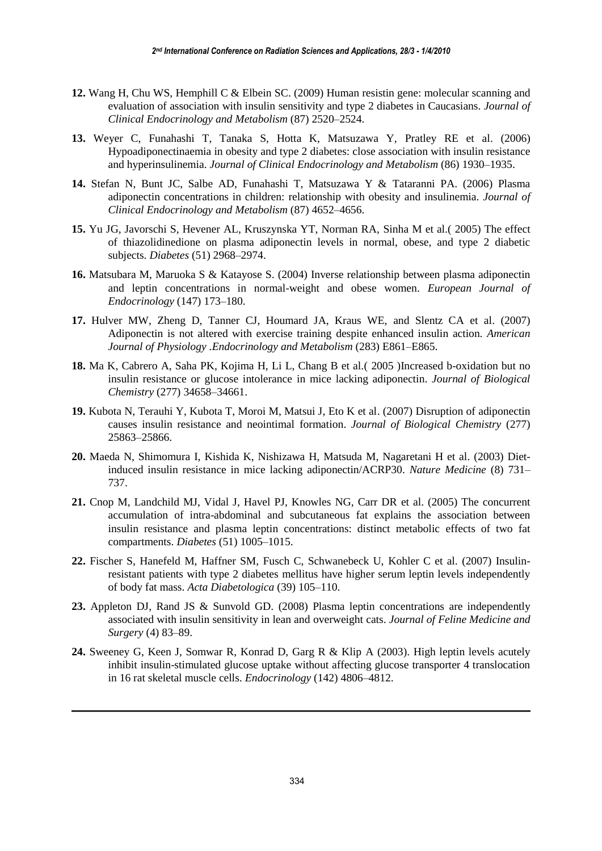- **12.** Wang H, Chu WS, Hemphill C & Elbein SC. (2009) Human resistin gene: molecular scanning and evaluation of association with insulin sensitivity and type 2 diabetes in Caucasians. *Journal of Clinical Endocrinology and Metabolism* (87) 2520–2524.
- **13.** Weyer C, Funahashi T, Tanaka S, Hotta K, Matsuzawa Y, Pratley RE et al. (2006) Hypoadiponectinaemia in obesity and type 2 diabetes: close association with insulin resistance and hyperinsulinemia. *Journal of Clinical Endocrinology and Metabolism* (86) 1930–1935.
- **14.** Stefan N, Bunt JC, Salbe AD, Funahashi T, Matsuzawa Y & Tataranni PA. (2006) Plasma adiponectin concentrations in children: relationship with obesity and insulinemia. *Journal of Clinical Endocrinology and Metabolism* (87) 4652–4656.
- **15.** Yu JG, Javorschi S, Hevener AL, Kruszynska YT, Norman RA, Sinha M et al.( 2005) The effect of thiazolidinedione on plasma adiponectin levels in normal, obese, and type 2 diabetic subjects. *Diabetes* (51) 2968–2974.
- **16.** Matsubara M, Maruoka S & Katayose S. (2004) Inverse relationship between plasma adiponectin and leptin concentrations in normal-weight and obese women. *European Journal of Endocrinology* (147) 173–180.
- **17.** Hulver MW, Zheng D, Tanner CJ, Houmard JA, Kraus WE, and Slentz CA et al. (2007) Adiponectin is not altered with exercise training despite enhanced insulin action. *American Journal of Physiology .Endocrinology and Metabolism* (283) E861–E865.
- **18.** Ma K, Cabrero A, Saha PK, Kojima H, Li L, Chang B et al.( 2005 )Increased b-oxidation but no insulin resistance or glucose intolerance in mice lacking adiponectin. *Journal of Biological Chemistry* (277) 34658–34661.
- **19.** Kubota N, Terauhi Y, Kubota T, Moroi M, Matsui J, Eto K et al. (2007) Disruption of adiponectin causes insulin resistance and neointimal formation. *Journal of Biological Chemistry* (277) 25863–25866.
- **20.** Maeda N, Shimomura I, Kishida K, Nishizawa H, Matsuda M, Nagaretani H et al. (2003) Dietinduced insulin resistance in mice lacking adiponectin/ACRP30. *Nature Medicine* (8) 731– 737.
- **21.** Cnop M, Landchild MJ, Vidal J, Havel PJ, Knowles NG, Carr DR et al. (2005) The concurrent accumulation of intra-abdominal and subcutaneous fat explains the association between insulin resistance and plasma leptin concentrations: distinct metabolic effects of two fat compartments. *Diabetes* (51) 1005–1015.
- **22.** Fischer S, Hanefeld M, Haffner SM, Fusch C, Schwanebeck U, Kohler C et al. (2007) Insulinresistant patients with type 2 diabetes mellitus have higher serum leptin levels independently of body fat mass. *Acta Diabetologica* (39) 105–110.
- 23. Appleton DJ, Rand JS & Sunvold GD. (2008) Plasma leptin concentrations are independently associated with insulin sensitivity in lean and overweight cats. *Journal of Feline Medicine and Surgery* (4) 83–89.
- **24.** Sweeney G, Keen J, Somwar R, Konrad D, Garg R & Klip A (2003). High leptin levels acutely inhibit insulin-stimulated glucose uptake without affecting glucose transporter 4 translocation in 16 rat skeletal muscle cells. *Endocrinology* (142) 4806–4812.